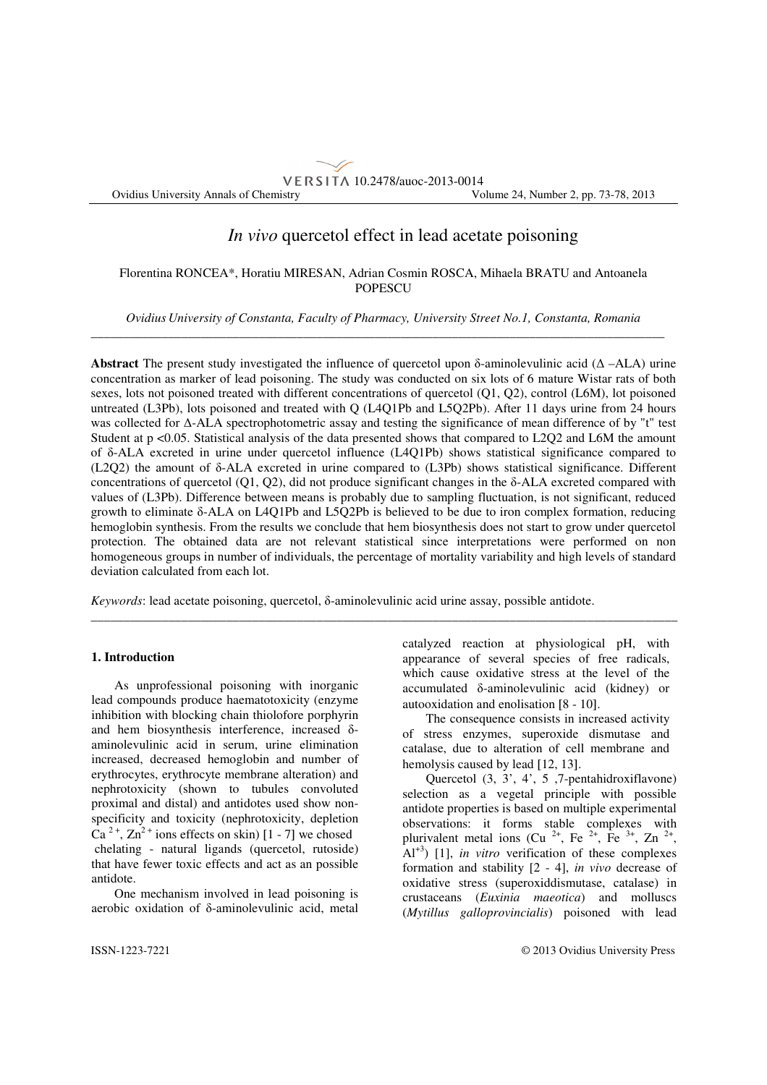# VERSITA 10.2478/auoc-2013-0014

Ovidius University Annals of Chemistry Volume 24, Number 2, pp. 73-78, 2013

# *In vivo* quercetol effect in lead acetate poisoning

## Florentina RONCEA\*, Horatiu MIRESAN, Adrian Cosmin ROSCA, Mihaela BRATU and Antoanela POPESCU

*Ovidius University of Constanta, Faculty of Pharmacy, University Street No.1, Constanta, Romania*  \_\_\_\_\_\_\_\_\_\_\_\_\_\_\_\_\_\_\_\_\_\_\_\_\_\_\_\_\_\_\_\_\_\_\_\_\_\_\_\_\_\_\_\_\_\_\_\_\_\_\_\_\_\_\_\_\_\_\_\_\_\_\_\_\_\_\_\_\_\_\_\_\_\_\_\_\_\_\_\_\_\_\_\_\_\_\_\_\_

**Abstract** The present study investigated the influence of quercetol upon δ-aminolevulinic acid (∆ –ALA) urine concentration as marker of lead poisoning. The study was conducted on six lots of 6 mature Wistar rats of both sexes, lots not poisoned treated with different concentrations of quercetol (Q1, Q2), control (L6M), lot poisoned untreated (L3Pb), lots poisoned and treated with Q (L4Q1Pb and L5Q2Pb). After 11 days urine from 24 hours was collected for ∆-ALA spectrophotometric assay and testing the significance of mean difference of by "t" test Student at p <0.05. Statistical analysis of the data presented shows that compared to L2Q2 and L6M the amount of δ-ALA excreted in urine under quercetol influence (L4Q1Pb) shows statistical significance compared to (L2Q2) the amount of δ-ALA excreted in urine compared to (L3Pb) shows statistical significance. Different concentrations of quercetol (Q1, Q2), did not produce significant changes in the  $\delta$ -ALA excreted compared with values of (L3Pb). Difference between means is probably due to sampling fluctuation, is not significant, reduced growth to eliminate δ-ALA on L4Q1Pb and L5Q2Pb is believed to be due to iron complex formation, reducing hemoglobin synthesis. From the results we conclude that hem biosynthesis does not start to grow under quercetol protection. The obtained data are not relevant statistical since interpretations were performed on non homogeneous groups in number of individuals, the percentage of mortality variability and high levels of standard deviation calculated from each lot.

\_\_\_\_\_\_\_\_\_\_\_\_\_\_\_\_\_\_\_\_\_\_\_\_\_\_\_\_\_\_\_\_\_\_\_\_\_\_\_\_\_\_\_\_\_\_\_\_\_\_\_\_\_\_\_\_\_\_\_\_\_\_\_\_\_\_\_\_\_\_\_\_\_\_\_\_\_\_\_\_\_\_\_\_\_\_\_\_\_\_\_

*Keywords*: lead acetate poisoning, quercetol, δ-aminolevulinic acid urine assay, possible antidote.

#### **1. Introduction**

As unprofessional poisoning with inorganic lead compounds produce haematotoxicity (enzyme inhibition with blocking chain thiolofore porphyrin and hem biosynthesis interference, increased δaminolevulinic acid in serum, urine elimination increased, decreased hemoglobin and number of erythrocytes, erythrocyte membrane alteration) and nephrotoxicity (shown to tubules convoluted proximal and distal) and antidotes used show nonspecificity and toxicity (nephrotoxicity, depletion Ca<sup>2+</sup>,  $\text{Zn}^{2+}$  ions effects on skin) [1 - 7] we chosed chelating - natural ligands (quercetol, rutoside) that have fewer toxic effects and act as an possible antidote.

One mechanism involved in lead poisoning is aerobic oxidation of δ-aminolevulinic acid, metal catalyzed reaction at physiological pH, with appearance of several species of free radicals, which cause oxidative stress at the level of the accumulated δ-aminolevulinic acid (kidney) or autooxidation and enolisation [8 - 10].

The consequence consists in increased activity of stress enzymes, superoxide dismutase and catalase, due to alteration of cell membrane and hemolysis caused by lead [12, 13].

Quercetol (3, 3', 4', 5 ,7-pentahidroxiflavone) selection as a vegetal principle with possible antidote properties is based on multiple experimental observations: it forms stable complexes with plurivalent metal ions (Cu<sup>2+</sup>, Fe<sup>2+</sup>, Fe<sup>3+</sup>, Zn<sup>2+</sup>,  $\text{Al}^{+3}$ ) [1], *in vitro* verification of these complexes formation and stability [2 - 4], *in vivo* decrease of oxidative stress (superoxiddismutase, catalase) in crustaceans (*Euxinia maeotica*) and molluscs (*Mytillus galloprovincialis*) poisoned with lead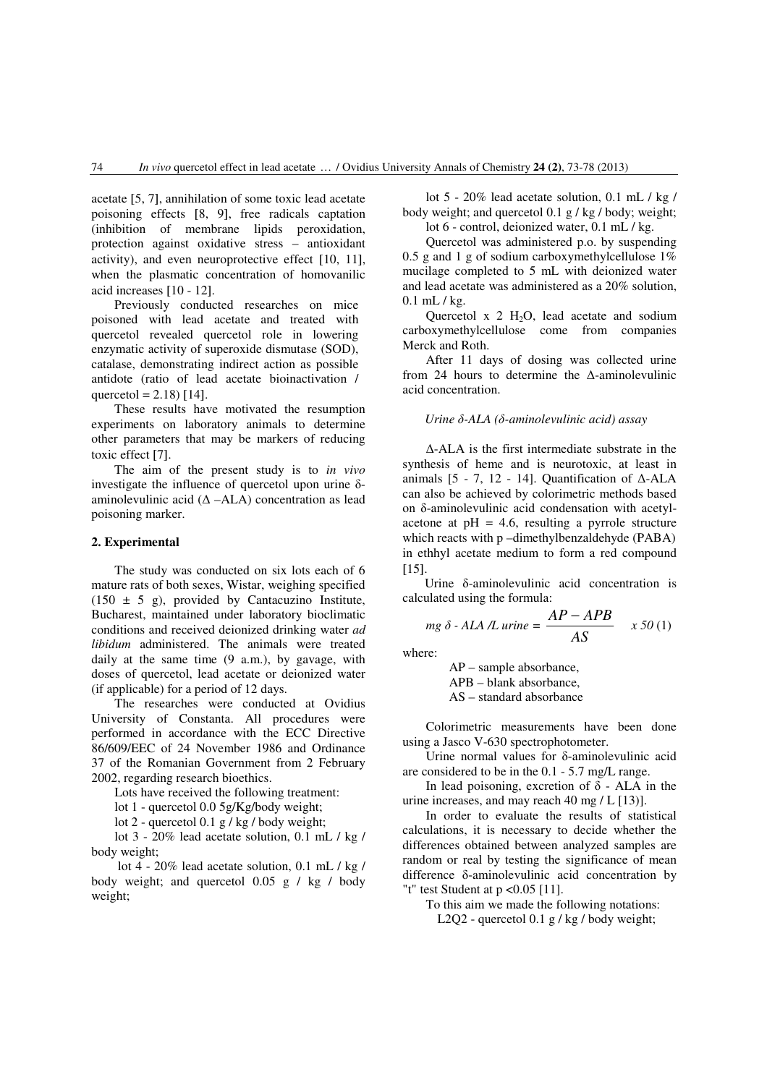acetate [5, 7], annihilation of some toxic lead acetate poisoning effects [8, 9], free radicals captation (inhibition of membrane lipids peroxidation, protection against oxidative stress – antioxidant activity), and even neuroprotective effect [10, 11], when the plasmatic concentration of homovanilic acid increases [10 - 12].

Previously conducted researches on mice poisoned with lead acetate and treated with quercetol revealed quercetol role in lowering enzymatic activity of superoxide dismutase (SOD), catalase, demonstrating indirect action as possible antidote (ratio of lead acetate bioinactivation / quercetol =  $2.18$ ) [14].

These results have motivated the resumption experiments on laboratory animals to determine other parameters that may be markers of reducing toxic effect [7].

The aim of the present study is to *in vivo* investigate the influence of quercetol upon urine δaminolevulinic acid  $(∆ -ALA)$  concentration as lead poisoning marker.

### **2. Experimental**

The study was conducted on six lots each of 6 mature rats of both sexes, Wistar, weighing specified  $(150 \pm 5 \text{ g})$ , provided by Cantacuzino Institute, Bucharest, maintained under laboratory bioclimatic conditions and received deionized drinking water *ad libidum* administered. The animals were treated daily at the same time (9 a.m.), by gavage, with doses of quercetol, lead acetate or deionized water (if applicable) for a period of 12 days.

The researches were conducted at Ovidius University of Constanta. All procedures were performed in accordance with the ECC Directive 86/609/EEC of 24 November 1986 and Ordinance 37 of the Romanian Government from 2 February 2002, regarding research bioethics.

Lots have received the following treatment:

lot 1 - quercetol 0.0 5g/Kg/body weight;

lot 2 - quercetol 0.1 g / kg / body weight;

lot 3 - 20% lead acetate solution, 0.1 mL / kg / body weight;

 lot 4 - 20% lead acetate solution, 0.1 mL / kg / body weight; and quercetol 0.05 g / kg / body weight;

lot 5 - 20% lead acetate solution, 0.1 mL / kg / body weight; and quercetol 0.1 g / kg / body; weight;

lot 6 - control, deionized water, 0.1 mL / kg.

Quercetol was administered p.o. by suspending 0.5 g and 1 g of sodium carboxymethylcellulose  $1\%$ mucilage completed to 5 mL with deionized water and lead acetate was administered as a 20% solution, 0.1 mL / kg.

Quercetol  $x$  2  $H_2O$ , lead acetate and sodium carboxymethylcellulose come from companies Merck and Roth.

After 11 days of dosing was collected urine from 24 hours to determine the ∆-aminolevulinic acid concentration.

#### *Urine* δ*-ALA (*δ*-aminolevulinic acid) assay*

∆-ALA is the first intermediate substrate in the synthesis of heme and is neurotoxic, at least in animals [5 - 7, 12 - 14]. Quantification of ∆-ALA can also be achieved by colorimetric methods based on δ-aminolevulinic acid condensation with acetylacetone at  $pH = 4.6$ , resulting a pyrrole structure which reacts with p –dimethylbenzaldehyde (PABA) in ethhyl acetate medium to form a red compound [15].

Urine δ-aminolevulinic acid concentration is calculated using the formula:

$$
mg \delta - ALA / L \text{ urine} = \frac{AP - APB}{AS} \qquad x \, 50 \, (1)
$$

where:

AP – sample absorbance, APB – blank absorbance, AS – standard absorbance

Colorimetric measurements have been done using a Jasco V-630 spectrophotometer.

Urine normal values for δ-aminolevulinic acid are considered to be in the 0.1 - 5.7 mg/L range.

In lead poisoning, excretion of  $\delta$  - ALA in the urine increases, and may reach 40 mg / L [13)].

In order to evaluate the results of statistical calculations, it is necessary to decide whether the differences obtained between analyzed samples are random or real by testing the significance of mean difference δ-aminolevulinic acid concentration by "t" test Student at  $p < 0.05$  [11].

To this aim we made the following notations: L2Q2 - quercetol 0.1 g / kg / body weight;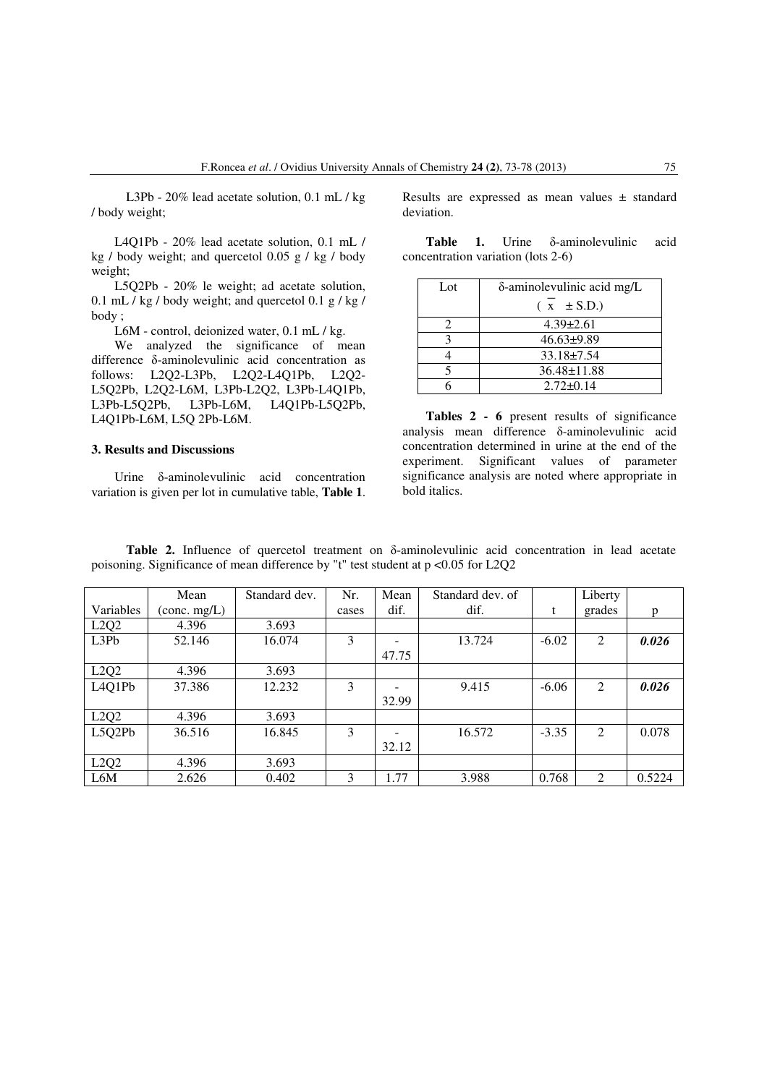L3Pb - 20% lead acetate solution, 0.1 mL / kg / body weight;

L4Q1Pb - 20% lead acetate solution, 0.1 mL / kg / body weight; and quercetol  $0.05$  g / kg / body weight;

L5Q2Pb - 20% le weight; ad acetate solution, 0.1 mL / kg / body weight; and quercetol 0.1 g / kg / body ;

L6M - control, deionized water, 0.1 mL / kg.

We analyzed the significance of mean difference δ-aminolevulinic acid concentration as follows: L2Q2-L3Pb, L2Q2-L4Q1Pb, L2Q2- L5Q2Pb, L2Q2-L6M, L3Pb-L2Q2, L3Pb-L4Q1Pb, L3Pb-L5Q2Pb, L3Pb-L6M, L4Q1Pb-L5Q2Pb, L4Q1Pb-L6M, L5Q 2Pb-L6M.

## **3. Results and Discussions**

Urine δ-aminolevulinic acid concentration variation is given per lot in cumulative table, **Table 1**. Results are expressed as mean values ± standard deviation.

**Table 1.** Urine δ-aminolevulinic acid concentration variation (lots 2-6)

| Lot | δ-aminolevulinic acid mg/L |
|-----|----------------------------|
|     | $(x \pm S.D.)$             |
|     | $4.39 \pm 2.61$            |
|     | $46.63 \pm 9.89$           |
|     | $33.18 \pm 7.54$           |
|     | $36.48 \pm 11.88$          |
|     | $2.72 \pm 0.14$            |

**Tables 2 - 6** present results of significance analysis mean difference δ-aminolevulinic acid concentration determined in urine at the end of the experiment. Significant values of parameter significance analysis are noted where appropriate in bold italics.

|           | Mean                               | Standard dev. | Nr.   | Mean  | Standard dev. of |         | Liberty        |        |
|-----------|------------------------------------|---------------|-------|-------|------------------|---------|----------------|--------|
| Variables | $\frac{\text{conc. mg}}{\text{L}}$ |               | cases | dif.  | dif.             | t       | grades         | p      |
| L2Q2      | 4.396                              | 3.693         |       |       |                  |         |                |        |
| L3Pb      | 52.146                             | 16.074        | 3     |       | 13.724           | $-6.02$ | $\overline{2}$ | 0.026  |
|           |                                    |               |       | 47.75 |                  |         |                |        |
| L2Q2      | 4.396                              | 3.693         |       |       |                  |         |                |        |
| L4Q1Pb    | 37.386                             | 12.232        | 3     |       | 9.415            | $-6.06$ | 2              | 0.026  |
|           |                                    |               |       | 32.99 |                  |         |                |        |
| L2Q2      | 4.396                              | 3.693         |       |       |                  |         |                |        |
| L5Q2Pb    | 36.516                             | 16.845        | 3     |       | 16.572           | $-3.35$ | 2              | 0.078  |
|           |                                    |               |       | 32.12 |                  |         |                |        |
| L2Q2      | 4.396                              | 3.693         |       |       |                  |         |                |        |
| L6M       | 2.626                              | 0.402         | 3     | 1.77  | 3.988            | 0.768   | $\overline{2}$ | 0.5224 |

**Table 2.** Influence of quercetol treatment on δ-aminolevulinic acid concentration in lead acetate poisoning. Significance of mean difference by "t" test student at p <0.05 for L2Q2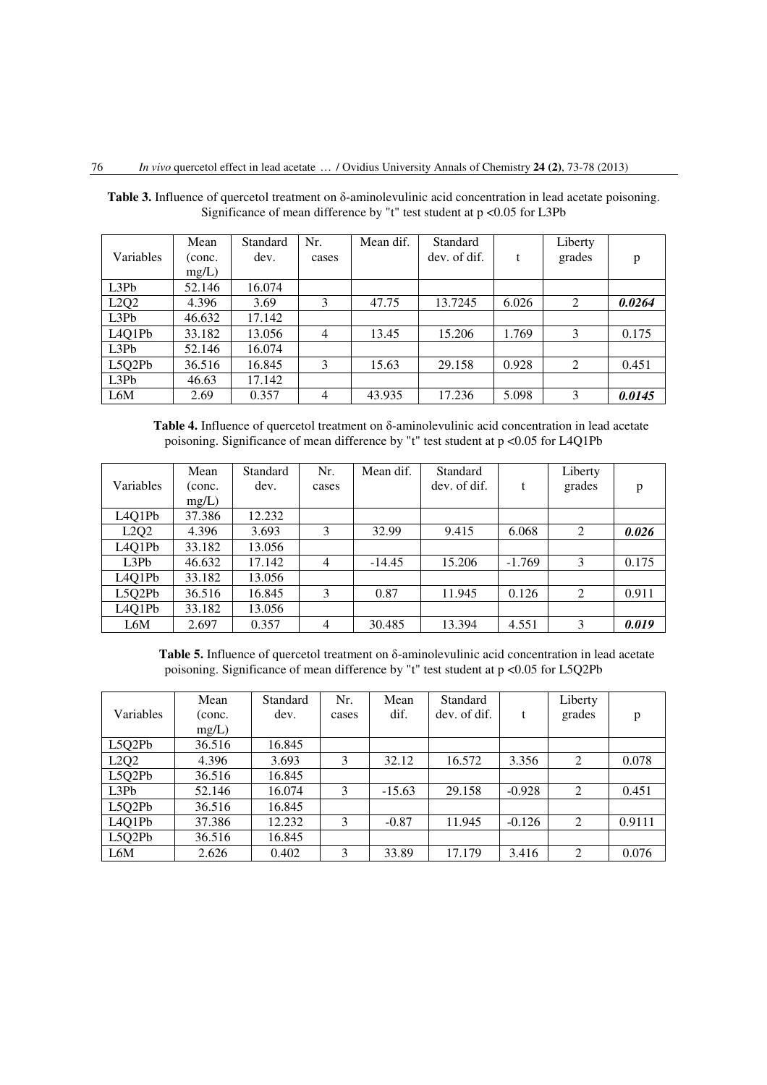| Variables          | Mean<br>(conc.<br>mg/L) | Standard<br>dev. | Nr.<br>cases   | Mean dif. | Standard<br>dev. of dif. | t     | Liberty<br>grades | p      |
|--------------------|-------------------------|------------------|----------------|-----------|--------------------------|-------|-------------------|--------|
| L3Pb               | 52.146                  | 16.074           |                |           |                          |       |                   |        |
| L2Q2               | 4.396                   | 3.69             | 3              | 47.75     | 13.7245                  | 6.026 | 2                 | 0.0264 |
| L3Pb               | 46.632                  | 17.142           |                |           |                          |       |                   |        |
| L <sub>4Q1Pb</sub> | 33.182                  | 13.056           | $\overline{4}$ | 13.45     | 15.206                   | 1.769 | 3                 | 0.175  |
| L3Pb               | 52.146                  | 16.074           |                |           |                          |       |                   |        |
| L5Q2Pb             | 36.516                  | 16.845           | 3              | 15.63     | 29.158                   | 0.928 | 2                 | 0.451  |
| L3Pb               | 46.63                   | 17.142           |                |           |                          |       |                   |        |
| L6M                | 2.69                    | 0.357            | 4              | 43.935    | 17.236                   | 5.098 | 3                 | 0.0145 |

**Table 3.** Influence of quercetol treatment on δ-aminolevulinic acid concentration in lead acetate poisoning. Significance of mean difference by "t" test student at p <0.05 for L3Pb

**Table 4.** Influence of quercetol treatment on δ-aminolevulinic acid concentration in lead acetate poisoning. Significance of mean difference by "t" test student at p <0.05 for L4Q1Pb

| Variables                                    | Mean<br>(conc.<br>mg/L) | Standard<br>dev. | Nr.<br>cases   | Mean dif. | Standard<br>dev. of dif. |          | Liberty<br>grades | p     |
|----------------------------------------------|-------------------------|------------------|----------------|-----------|--------------------------|----------|-------------------|-------|
| L <sub>4</sub> Q <sub>1</sub> P <sub>b</sub> | 37.386                  | 12.232           |                |           |                          |          |                   |       |
| L2Q2                                         | 4.396                   | 3.693            | 3              | 32.99     | 9.415                    | 6.068    | $\overline{2}$    | 0.026 |
| L4Q1Pb                                       | 33.182                  | 13.056           |                |           |                          |          |                   |       |
| L3Pb                                         | 46.632                  | 17.142           | $\overline{4}$ | $-14.45$  | 15.206                   | $-1.769$ | 3                 | 0.175 |
| L4Q1Pb                                       | 33.182                  | 13.056           |                |           |                          |          |                   |       |
| L5Q2Pb                                       | 36.516                  | 16.845           | 3              | 0.87      | 11.945                   | 0.126    | 2                 | 0.911 |
| L4Q1Pb                                       | 33.182                  | 13.056           |                |           |                          |          |                   |       |
| L6M                                          | 2.697                   | 0.357            | 4              | 30.485    | 13.394                   | 4.551    | 3                 | 0.019 |

**Table 5.** Influence of quercetol treatment on δ-aminolevulinic acid concentration in lead acetate poisoning. Significance of mean difference by "t" test student at p <0.05 for L5Q2Pb

| Variables                                    | Mean<br>(conc. | Standard<br>dev. | Nr.<br>cases | Mean<br>dif. | Standard<br>dev. of dif. | t        | Liberty<br>grades |        |
|----------------------------------------------|----------------|------------------|--------------|--------------|--------------------------|----------|-------------------|--------|
|                                              | mg/L)          |                  |              |              |                          |          |                   | p      |
| L5Q2Pb                                       | 36.516         | 16.845           |              |              |                          |          |                   |        |
| L2Q2                                         | 4.396          | 3.693            | 3            | 32.12        | 16.572                   | 3.356    | 2                 | 0.078  |
| L5Q2Pb                                       | 36.516         | 16.845           |              |              |                          |          |                   |        |
| L3Pb                                         | 52.146         | 16.074           | 3            | $-15.63$     | 29.158                   | $-0.928$ | 2                 | 0.451  |
| L5Q2Pb                                       | 36.516         | 16.845           |              |              |                          |          |                   |        |
| L <sub>4</sub> Q <sub>1</sub> P <sub>b</sub> | 37.386         | 12.232           | 3            | $-0.87$      | 11.945                   | $-0.126$ | $\overline{2}$    | 0.9111 |
| L5Q2Pb                                       | 36.516         | 16.845           |              |              |                          |          |                   |        |
| L6M                                          | 2.626          | 0.402            | 3            | 33.89        | 17.179                   | 3.416    | 2                 | 0.076  |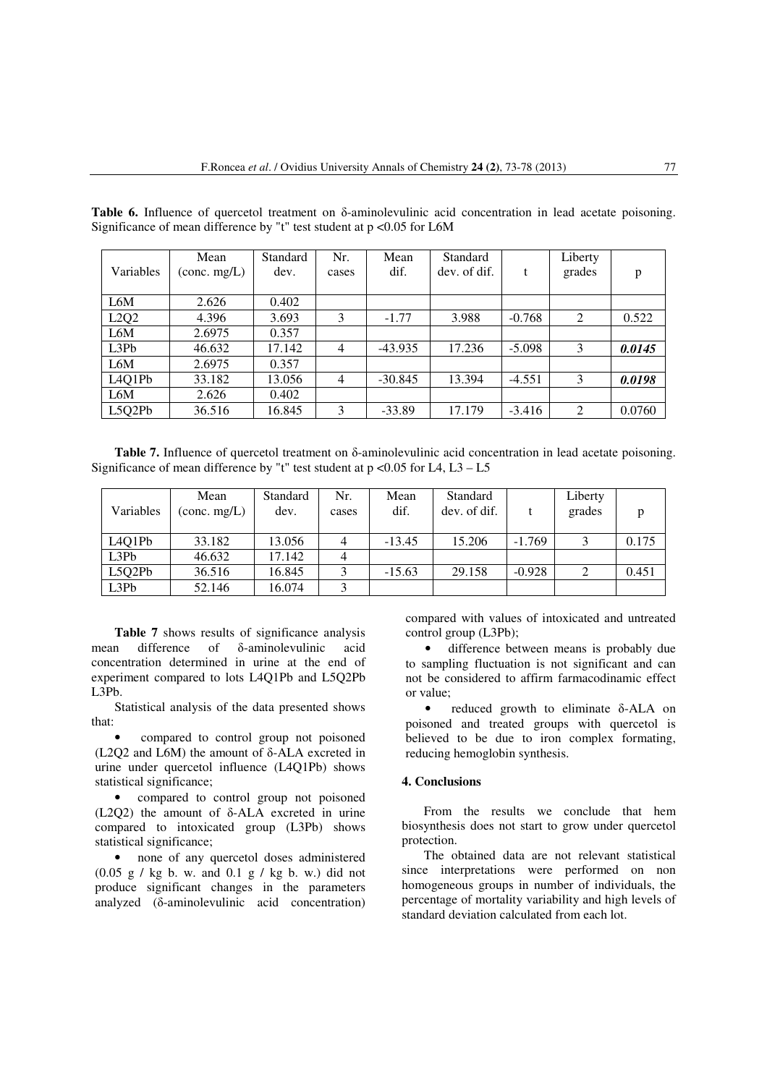|                    | Mean         | Standard | Nr.            | Mean      | Standard     |          | Liberty |        |
|--------------------|--------------|----------|----------------|-----------|--------------|----------|---------|--------|
| Variables          | (conc. mg/L) | dev.     | cases          | dif.      | dev. of dif. | t        | grades  | p      |
|                    |              |          |                |           |              |          |         |        |
| L6M                | 2.626        | 0.402    |                |           |              |          |         |        |
| L2Q2               | 4.396        | 3.693    | 3              | $-1.77$   | 3.988        | $-0.768$ | 2       | 0.522  |
| L6M                | 2.6975       | 0.357    |                |           |              |          |         |        |
| L3Pb               | 46.632       | 17.142   | $\overline{4}$ | $-43.935$ | 17.236       | $-5.098$ | 3       | 0.0145 |
| L6M                | 2.6975       | 0.357    |                |           |              |          |         |        |
| L <sub>4Q1Pb</sub> | 33.182       | 13.056   | $\overline{4}$ | $-30.845$ | 13.394       | $-4.551$ | 3       | 0.0198 |
| L6M                | 2.626        | 0.402    |                |           |              |          |         |        |
| L5Q2Pb             | 36.516       | 16.845   | 3              | $-33.89$  | 17.179       | $-3.416$ | 2       | 0.0760 |

**Table 6.** Influence of quercetol treatment on δ-aminolevulinic acid concentration in lead acetate poisoning. Significance of mean difference by "t" test student at  $p \le 0.05$  for L6M

**Table 7.** Influence of quercetol treatment on δ-aminolevulinic acid concentration in lead acetate poisoning. Significance of mean difference by "t" test student at  $p < 0.05$  for L4, L3 – L5

| Variables                                    | Mean<br>$\frac{\text{conc. mg}}{\text{L}}$ | Standard<br>dev. | Nr.<br>cases | Mean<br>dif. | Standard<br>dev. of dif. |          | Liberty<br>grades | p     |
|----------------------------------------------|--------------------------------------------|------------------|--------------|--------------|--------------------------|----------|-------------------|-------|
| L <sub>4</sub> Q <sub>1</sub> P <sub>b</sub> | 33.182                                     | 13.056           |              | $-13.45$     | 15.206                   | $-1.769$ |                   | 0.175 |
| L3Pb                                         | 46.632                                     | 17.142           |              |              |                          |          |                   |       |
| L5Q2Pb                                       | 36.516                                     | 16.845           |              | $-15.63$     | 29.158                   | $-0.928$ |                   | 0.451 |
| L3Pb                                         | 52.146                                     | 16.074           |              |              |                          |          |                   |       |

Table 7 shows results of significance analysis mean difference of δ-aminolevulinic acid concentration determined in urine at the end of experiment compared to lots L4Q1Pb and L5Q2Pb L3Pb.

Statistical analysis of the data presented shows that:

• compared to control group not poisoned (L2Q2 and L6M) the amount of δ-ALA excreted in urine under quercetol influence (L4Q1Pb) shows statistical significance;

• compared to control group not poisoned (L2Q2) the amount of δ-ALA excreted in urine compared to intoxicated group (L3Pb) shows statistical significance;

• none of any quercetol doses administered (0.05 g / kg b. w. and 0.1 g / kg b. w.) did not produce significant changes in the parameters analyzed (δ-aminolevulinic acid concentration) compared with values of intoxicated and untreated control group (L3Pb);

difference between means is probably due to sampling fluctuation is not significant and can not be considered to affirm farmacodinamic effect or value;

• reduced growth to eliminate δ-ALA on poisoned and treated groups with quercetol is believed to be due to iron complex formating, reducing hemoglobin synthesis.

#### **4. Conclusions**

From the results we conclude that hem biosynthesis does not start to grow under quercetol protection.

The obtained data are not relevant statistical since interpretations were performed on non homogeneous groups in number of individuals, the percentage of mortality variability and high levels of standard deviation calculated from each lot.